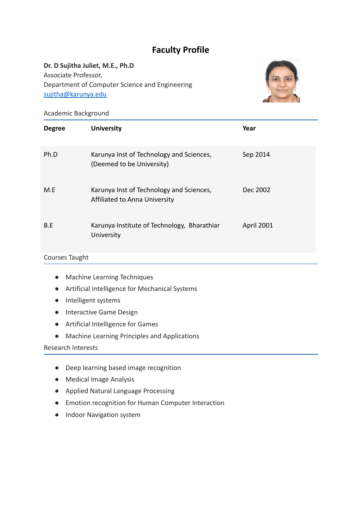# **Faculty Profile**

# **Dr. D Sujitha Juliet, M.E., Ph.D**

Associate Professor, Department of Computer Science and Engineering [sujitha@karunya.edu](mailto:sujitha@karunya.edu)



Academic Background

| <b>Degree</b> | <b>University</b>                                                         | Year       |
|---------------|---------------------------------------------------------------------------|------------|
| Ph.D          | Karunya Inst of Technology and Sciences,<br>(Deemed to be University)     | Sep 2014   |
| M.E           | Karunya Inst of Technology and Sciences,<br>Affiliated to Anna University | Dec 2002   |
| B.E           | Karunya Institute of Technology, Bharathiar<br>University                 | April 2001 |

# Courses Taught

- Machine Learning Techniques
- Artificial Intelligence for Mechanical Systems
- Intelligent systems
- Interactive Game Design
- Artificial Intelligence for Games
- Machine Learning Principles and Applications

#### Research Interests

- Deep learning based image recognition
- Medical Image Analysis
- Applied Natural Language Processing
- Emotion recognition for Human Computer Interaction
- Indoor Navigation system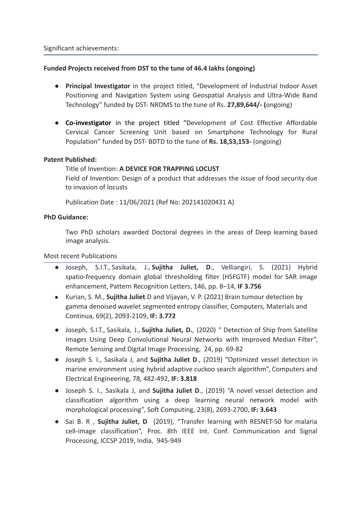#### **Funded Projects received from DST to the tune of 46.4 lakhs (ongoing)**

- **Principal Investigator** in the project titled, "Development of Industrial Indoor Asset Positioning and Navigation System using Geospatial Analysis and Ultra-Wide Band Technology" funded by DST- NRDMS to the tune of Rs. **27,89,644/- (**ongoing)
- **Co-investigator** in the project titled "Development of Cost Effective Affordable Cervical Cancer Screening Unit based on Smartphone Technology for Rural Population" funded by DST- BDTD to the tune of **Rs. 18,53,153-** (ongoing)

#### **Patent Published:**

# Title of Invention: **A DEVICE FOR TRAPPING LOCUST**

Field of Invention: Design of a product that addresses the issue of food security due to invasion of locusts

Publication Date : 11/06/2021 (Ref No: 202141020431 A)

#### **PhD Guidance:**

Two PhD scholars awarded Doctoral degrees in the areas of Deep learning based image analysis.

Most recent Publications

- [Joseph,](https://www.scopus.com/authid/detail.uri?origin=resultslist&authorId=57218701686&zone=) S.I.T., [Sasikala,](https://www.scopus.com/authid/detail.uri?origin=resultslist&authorId=35118311000&zone=) J., **Sujitha [Juliet,](https://www.scopus.com/authid/detail.uri?origin=resultslist&authorId=57189716828&zone=) D**., Velliangiri, S. (2021) Hybrid spatio-frequency domain global thresholding filter (HSFGTF) model for SAR image enhancement, [Pattern Recognition Letters,](https://www.scopus.com/authid/detail.uri?authorId=57189716828#disabled) 146, pp. 8–14, **IF 3.756**
- Kurian, S. M., **Sujitha [Juliet](https://www.scopus.com/authid/detail.uri?origin=resultslist&authorId=57189716828&zone=)**.D and Vijayan, V. P. (2021) Brain tumour detection by gamma denoised wavelet segmented entropy classifier, Computers, Materials and Continua, 69(2), 2093-2109, **IF: 3.772**
- Joseph, S.I.T., [Sasikala,](https://www.scopus.com/authid/detail.uri?origin=resultslist&authorId=35118311000&zone=) J., **Sujitha [Juliet,](https://www.scopus.com/authid/detail.uri?origin=resultslist&authorId=57189716828&zone=) D.**, (2020) " Detection of Ship from Satellite Images Using Deep Convolutional Neural Networks with Improved Median Filter", [Remote Sensing and Digital Image Processing,](https://www.scopus.com/sourceid/21100469658?origin=resultslist) 24, pp. 69-82
- Joseph S. I., Sasikala J, and **Sujitha Juliet D**., (2019) "Optimized vessel detection in marine environment using hybrid adaptive cuckoo search algorithm", Computers and Electrical Engineering, 78, 482-492, **IF: 3.818**
- Joseph S. I., Sasikala J, and **Sujitha Juliet D**., (2019) "A novel vessel detection and classification algorithm using a deep learning neural network model with morphological processing", Soft Computing, 23(8), 2693-2700, **IF: 3.643**
- Sai B. R , **Sujitha Juliet, D** (2019), "Transfer learning with RESNET-50 for malaria cell-image classification", Proc. 8th IEEE Int. Conf. Communication and Signal Processing, ICCSP 2019, India, 945-949